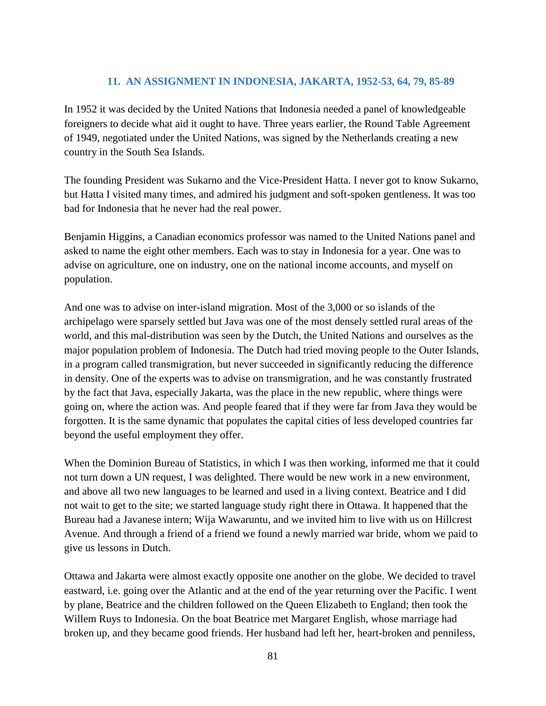## **11. AN ASSIGNMENT IN INDONESIA, JAKARTA, 1952-53, 64, 79, 85-89**

In 1952 it was decided by the United Nations that Indonesia needed a panel of knowledgeable foreigners to decide what aid it ought to have. Three years earlier, the Round Table Agreement of 1949, negotiated under the United Nations, was signed by the Netherlands creating a new country in the South Sea Islands.

The founding President was Sukarno and the Vice-President Hatta. I never got to know Sukarno, but Hatta I visited many times, and admired his judgment and soft-spoken gentleness. It was too bad for Indonesia that he never had the real power.

Benjamin Higgins, a Canadian economics professor was named to the United Nations panel and asked to name the eight other members. Each was to stay in Indonesia for a year. One was to advise on agriculture, one on industry, one on the national income accounts, and myself on population.

And one was to advise on inter-island migration. Most of the 3,000 or so islands of the archipelago were sparsely settled but Java was one of the most densely settled rural areas of the world, and this mal-distribution was seen by the Dutch, the United Nations and ourselves as the major population problem of Indonesia. The Dutch had tried moving people to the Outer Islands, in a program called transmigration, but never succeeded in significantly reducing the difference in density. One of the experts was to advise on transmigration, and he was constantly frustrated by the fact that Java, especially Jakarta, was the place in the new republic, where things were going on, where the action was. And people feared that if they were far from Java they would be forgotten. It is the same dynamic that populates the capital cities of less developed countries far beyond the useful employment they offer.

When the Dominion Bureau of Statistics, in which I was then working, informed me that it could not turn down a UN request, I was delighted. There would be new work in a new environment, and above all two new languages to be learned and used in a living context. Beatrice and I did not wait to get to the site; we started language study right there in Ottawa. It happened that the Bureau had a Javanese intern; Wija Wawaruntu, and we invited him to live with us on Hillcrest Avenue. And through a friend of a friend we found a newly married war bride, whom we paid to give us lessons in Dutch.

Ottawa and Jakarta were almost exactly opposite one another on the globe. We decided to travel eastward, i.e. going over the Atlantic and at the end of the year returning over the Pacific. I went by plane, Beatrice and the children followed on the Queen Elizabeth to England; then took the Willem Ruys to Indonesia. On the boat Beatrice met Margaret English, whose marriage had broken up, and they became good friends. Her husband had left her, heart-broken and penniless,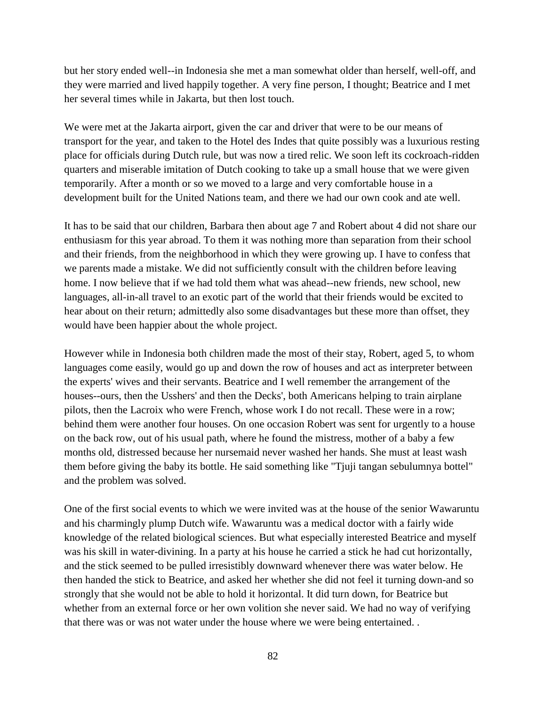but her story ended well--in Indonesia she met a man somewhat older than herself, well-off, and they were married and lived happily together. A very fine person, I thought; Beatrice and I met her several times while in Jakarta, but then lost touch.

We were met at the Jakarta airport, given the car and driver that were to be our means of transport for the year, and taken to the Hotel des Indes that quite possibly was a luxurious resting place for officials during Dutch rule, but was now a tired relic. We soon left its cockroach-ridden quarters and miserable imitation of Dutch cooking to take up a small house that we were given temporarily. After a month or so we moved to a large and very comfortable house in a development built for the United Nations team, and there we had our own cook and ate well.

It has to be said that our children, Barbara then about age 7 and Robert about 4 did not share our enthusiasm for this year abroad. To them it was nothing more than separation from their school and their friends, from the neighborhood in which they were growing up. I have to confess that we parents made a mistake. We did not sufficiently consult with the children before leaving home. I now believe that if we had told them what was ahead--new friends, new school, new languages, all-in-all travel to an exotic part of the world that their friends would be excited to hear about on their return; admittedly also some disadvantages but these more than offset, they would have been happier about the whole project.

However while in Indonesia both children made the most of their stay, Robert, aged 5, to whom languages come easily, would go up and down the row of houses and act as interpreter between the experts' wives and their servants. Beatrice and I well remember the arrangement of the houses--ours, then the Usshers' and then the Decks', both Americans helping to train airplane pilots, then the Lacroix who were French, whose work I do not recall. These were in a row; behind them were another four houses. On one occasion Robert was sent for urgently to a house on the back row, out of his usual path, where he found the mistress, mother of a baby a few months old, distressed because her nursemaid never washed her hands. She must at least wash them before giving the baby its bottle. He said something like "Tjuji tangan sebulumnya bottel" and the problem was solved.

One of the first social events to which we were invited was at the house of the senior Wawaruntu and his charmingly plump Dutch wife. Wawaruntu was a medical doctor with a fairly wide knowledge of the related biological sciences. But what especially interested Beatrice and myself was his skill in water-divining. In a party at his house he carried a stick he had cut horizontally, and the stick seemed to be pulled irresistibly downward whenever there was water below. He then handed the stick to Beatrice, and asked her whether she did not feel it turning down-and so strongly that she would not be able to hold it horizontal. It did turn down, for Beatrice but whether from an external force or her own volition she never said. We had no way of verifying that there was or was not water under the house where we were being entertained. .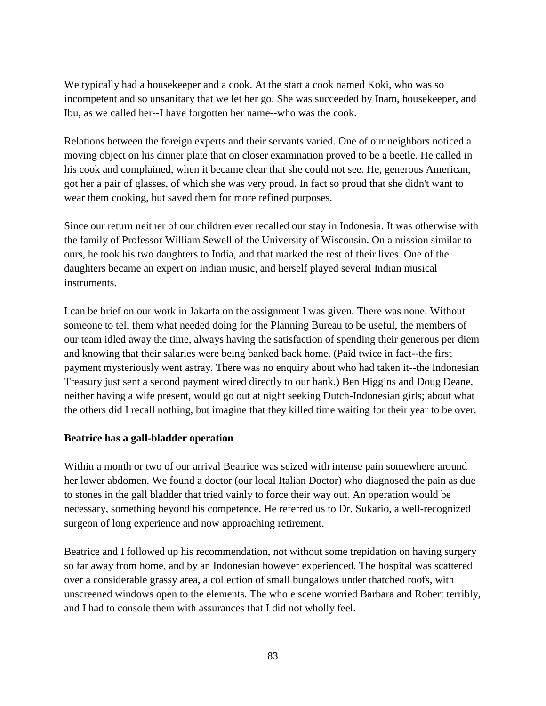We typically had a housekeeper and a cook. At the start a cook named Koki, who was so incompetent and so unsanitary that we let her go. She was succeeded by Inam, housekeeper, and Ibu, as we called her--I have forgotten her name--who was the cook.

Relations between the foreign experts and their servants varied. One of our neighbors noticed a moving object on his dinner plate that on closer examination proved to be a beetle. He called in his cook and complained, when it became clear that she could not see. He, generous American, got her a pair of glasses, of which she was very proud. In fact so proud that she didn't want to wear them cooking, but saved them for more refined purposes.

Since our return neither of our children ever recalled our stay in Indonesia. It was otherwise with the family of Professor William Sewell of the University of Wisconsin. On a mission similar to ours, he took his two daughters to India, and that marked the rest of their lives. One of the daughters became an expert on Indian music, and herself played several Indian musical instruments.

I can be brief on our work in Jakarta on the assignment I was given. There was none. Without someone to tell them what needed doing for the Planning Bureau to be useful, the members of our team idled away the time, always having the satisfaction of spending their generous per diem and knowing that their salaries were being banked back home. (Paid twice in fact--the first payment mysteriously went astray. There was no enquiry about who had taken it--the Indonesian Treasury just sent a second payment wired directly to our bank.) Ben Higgins and Doug Deane, neither having a wife present, would go out at night seeking Dutch-Indonesian girls; about what the others did I recall nothing, but imagine that they killed time waiting for their year to be over.

## **Beatrice has a gall-bladder operation**

Within a month or two of our arrival Beatrice was seized with intense pain somewhere around her lower abdomen. We found a doctor (our local Italian Doctor) who diagnosed the pain as due to stones in the gall bladder that tried vainly to force their way out. An operation would be necessary, something beyond his competence. He referred us to Dr. Sukario, a well-recognized surgeon of long experience and now approaching retirement.

Beatrice and I followed up his recommendation, not without some trepidation on having surgery so far away from home, and by an Indonesian however experienced. The hospital was scattered over a considerable grassy area, a collection of small bungalows under thatched roofs, with unscreened windows open to the elements. The whole scene worried Barbara and Robert terribly, and I had to console them with assurances that I did not wholly feel.